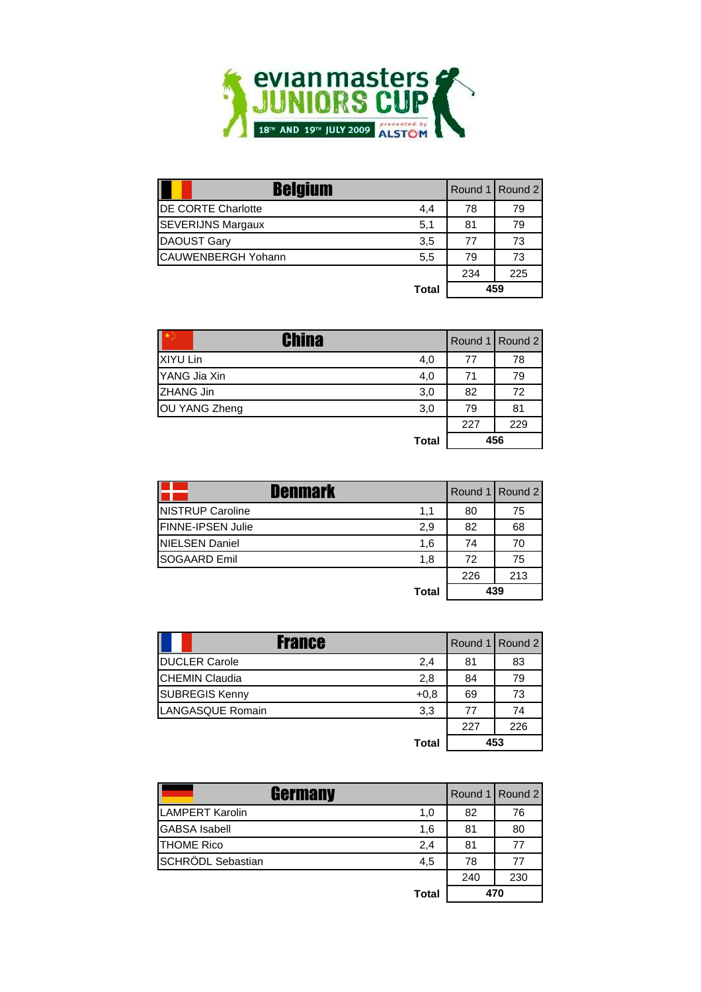

| <b>Belgium</b>            |              |     | Round 1 Round 2 |
|---------------------------|--------------|-----|-----------------|
| <b>DE CORTE Charlotte</b> | 4,4          | 78  | 79              |
| <b>SEVERIJNS Margaux</b>  | 5,1          | 81  | 79              |
| <b>DAOUST Gary</b>        | 3,5          | 77  | 73              |
| <b>CAUWENBERGH Yohann</b> | 5,5          | 79  | 73              |
|                           |              | 234 | 225             |
|                           | <b>Total</b> | 459 |                 |

| China         |              |     | Round 1 Round 2 |
|---------------|--------------|-----|-----------------|
| XIYU Lin      | 4,0          | 77  | 78              |
| YANG Jia Xin  | 4,0          | 71  | 79              |
| ZHANG Jin     | 3,0          | 82  | 72              |
| OU YANG Zheng | 3,0          | 79  | 81              |
|               |              | 227 | 229             |
|               | <b>Total</b> |     | 456             |

| Denmark                  |              |     | Round 1 Round 2 |
|--------------------------|--------------|-----|-----------------|
| <b>NISTRUP Caroline</b>  | 1,1          | 80  | 75              |
| <b>FINNE-IPSEN Julie</b> | 2,9          | 82  | 68              |
| <b>INIELSEN Daniel</b>   | 1,6          | 74  | 70              |
| <b>SOGAARD Emil</b>      | 1.8          | 72  | 75              |
|                          |              | 226 | 213             |
|                          | <b>Total</b> |     | 439             |

| <b>France</b>                   |     | Round 1 Round 2 |
|---------------------------------|-----|-----------------|
| <b>DUCLER Carole</b><br>2,4     | 81  | 83              |
| <b>CHEMIN Claudia</b><br>2,8    | 84  | 79              |
| <b>SUBREGIS Kenny</b><br>$+0.8$ | 69  | 73              |
| <b>LANGASQUE Romain</b><br>3,3  | 77  | 74              |
|                                 | 227 | 226             |
| <b>Total</b>                    |     | 453             |

| <b>Germany</b>       |              |     | Round 1 Round 2 |
|----------------------|--------------|-----|-----------------|
| LAMPERT Karolin      | 1,0          | 82  | 76              |
| <b>GABSA</b> Isabell | 1,6          | 81  | 80              |
| <b>THOME Rico</b>    | 2,4          | 81  | 77              |
| SCHRÖDL Sebastian    | 4,5          | 78  | 77              |
|                      |              | 240 | 230             |
|                      | <b>Total</b> |     | 470             |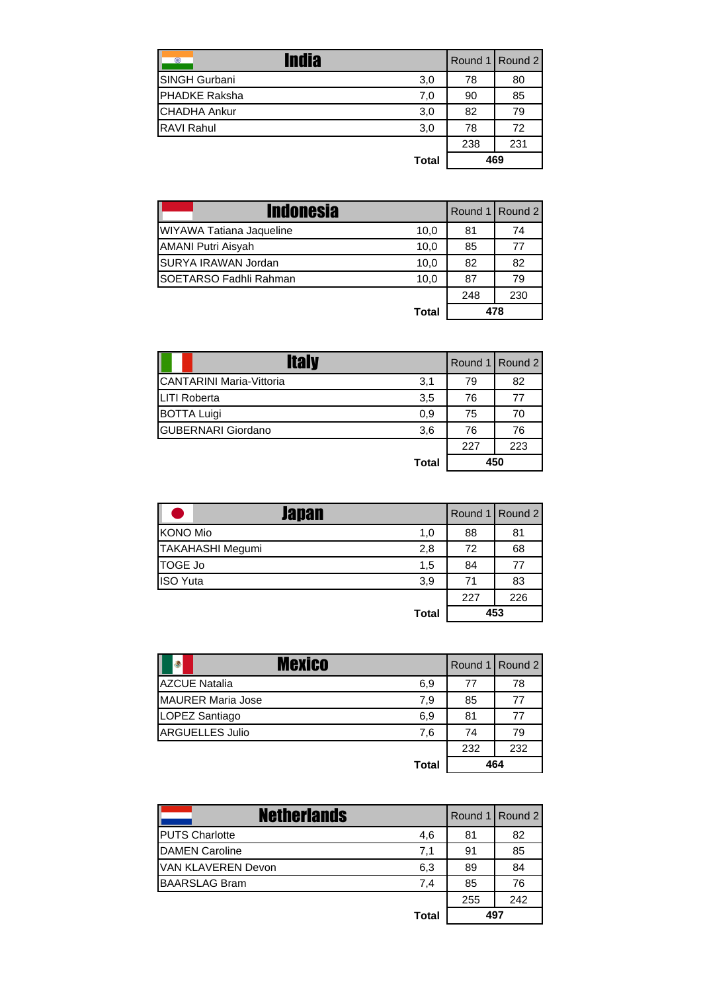| <b>India</b><br>◎    |              |     | Round 1 Round 2 |
|----------------------|--------------|-----|-----------------|
| <b>SINGH Gurbani</b> | 3,0          | 78  | 80              |
| <b>PHADKE Raksha</b> | 7,0          | 90  | 85              |
| <b>CHADHA Ankur</b>  | 3,0          | 82  | 79              |
| <b>RAVI Rahul</b>    | 3,0          | 78  | 72              |
|                      |              | 238 | 231             |
|                      | <b>Total</b> |     | 469             |

| <b>Indonesia</b>                      |     | Round 1 Round 2 |
|---------------------------------------|-----|-----------------|
| WIYAWA Tatiana Jaqueline<br>10,0      | 81  | 74              |
| <b>AMANI Putri Aisyah</b><br>10,0     | 85  | 77              |
| SURYA IRAWAN Jordan<br>10,0           | 82  | 82              |
| <b>SOETARSO Fadhli Rahman</b><br>10,0 | 87  | 79              |
|                                       | 248 | 230             |
| <b>Total</b>                          |     | 478             |

| <b>Italy</b>                    |              |     | Round 1 Round 2 |
|---------------------------------|--------------|-----|-----------------|
| <b>CANTARINI Maria-Vittoria</b> | 3,1          | 79  | 82              |
| <b>LITI Roberta</b>             | 3,5          | 76  | 77              |
| <b>BOTTA Luigi</b>              | 0,9          | 75  | 70              |
| <b>GUBERNARI Giordano</b>       | 3,6          | 76  | 76              |
|                                 |              | 227 | 223             |
|                                 | <b>Total</b> |     | 450             |

| Japan                   |              |     | Round 1 Round 2 |
|-------------------------|--------------|-----|-----------------|
| <b>KONO Mio</b>         | 1,0          | 88  | 81              |
| <b>TAKAHASHI Megumi</b> | 2,8          | 72  | 68              |
| TOGE Jo                 | 1,5          | 84  | 77              |
| <b>ISO Yuta</b>         | 3,9          | 71  | 83              |
|                         |              | 227 | 226             |
|                         | <b>Total</b> |     | 453             |

| Mexico<br>٠              |              |     | Round 1 Round 2 |
|--------------------------|--------------|-----|-----------------|
| <b>AZCUE Natalia</b>     | 6,9          | 77  | 78              |
| <b>MAURER Maria Jose</b> | 7,9          | 85  | 77              |
| LOPEZ Santiago           | 6,9          | 81  | 77              |
| <b>ARGUELLES Julio</b>   | 7.6          | 74  | 79              |
|                          |              | 232 | 232             |
|                          | <b>Total</b> |     | 464             |

| <b>Netherlands</b>        |       |     | Round 1 Round 2 |
|---------------------------|-------|-----|-----------------|
| <b>PUTS Charlotte</b>     | 4,6   | 81  | 82              |
| <b>DAMEN Caroline</b>     | 7,1   | 91  | 85              |
| <b>VAN KLAVEREN Devon</b> | 6,3   | 89  | 84              |
| <b>BAARSLAG Bram</b>      | 7,4   | 85  | 76              |
|                           |       | 255 | 242             |
|                           | Total |     | 497             |